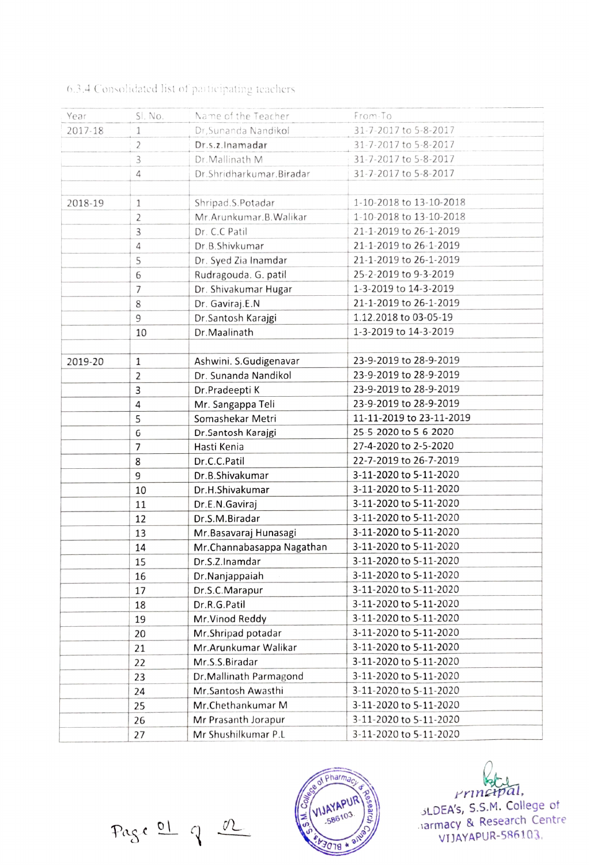| Year    | SI. No.        | Name of the Teacher       | From-To                  |
|---------|----------------|---------------------------|--------------------------|
| 2017-18 | 1              | Dr, Sunanda Nandikol      | 31-7-2017 to 5-8-2017    |
|         | 2              | Dr.s.z.Inamadar           | 31-7-2017 to 5-8-2017    |
|         | 3              | Dr.Mallinath M            | 31-7-2017 to 5-8-2017    |
|         | 4              | Dr.Shridharkumar.Biradar  | 31-7-2017 to 5-8-2017    |
|         |                |                           |                          |
| 2018-19 | $1\,$          | Shripad.S.Potadar         | 1-10-2018 to 13-10-2018  |
|         | 2              | Mr. Arunkumar. B. Walikar | 1-10-2018 to 13-10-2018  |
|         | 3              | Dr. C.C Patil             | 21-1-2019 to 26-1-2019   |
|         | 4              | Dr.B.Shivkumar            | 21-1-2019 to 26-1-2019   |
|         | 5              | Dr. Syed Zia Inamdar      | 21-1-2019 to 26-1-2019   |
|         | 6              | Rudragouda. G. patil      | 25-2-2019 to 9-3-2019    |
|         | 7              | Dr. Shivakumar Hugar      | 1-3-2019 to 14-3-2019    |
|         | 8              | Dr. Gaviraj.E.N           | 21-1-2019 to 26-1-2019   |
|         | 9              | Dr.Santosh Karajgi        | 1.12.2018 to 03-05-19    |
|         | 10             | Dr.Maalinath              | 1-3-2019 to 14-3-2019    |
|         |                |                           |                          |
| 2019-20 | $1\,$          | Ashwini. S.Gudigenavar    | 23-9-2019 to 28-9-2019   |
|         | $\overline{2}$ | Dr. Sunanda Nandikol      | 23-9-2019 to 28-9-2019   |
|         | 3              | Dr.Pradeepti K            | 23-9-2019 to 28-9-2019   |
|         | 4              | Mr. Sangappa Teli         | 23-9-2019 to 28-9-2019   |
|         | 5              | Somashekar Metri          | 11-11-2019 to 23-11-2019 |
|         | 6              | Dr.Santosh Karajgi        | 25-5-2020 to 5-6-2020    |
|         | 7              | Hasti Kenia               | 27-4-2020 to 2-5-2020    |
|         | 8              | Dr.C.C.Patil              | 22-7-2019 to 26-7-2019   |
|         | 9              | Dr.B.Shivakumar           | 3-11-2020 to 5-11-2020   |
|         | 10             | Dr.H.Shivakumar           | 3-11-2020 to 5-11-2020   |
|         | 11             | Dr.E.N.Gaviraj            | 3-11-2020 to 5-11-2020   |
|         | 12             | Dr.S.M.Biradar            | 3-11-2020 to 5-11-2020   |
|         | 13             | Mr. Basavaraj Hunasagi    | 3-11-2020 to 5-11-2020   |
|         | 14             | Mr.Channabasappa Nagathan | 3-11-2020 to 5-11-2020   |
|         | 15             | Dr.S.Z.Inamdar            | 3-11-2020 to 5-11-2020   |
|         | 16             | Dr.Nanjappaiah            | 3-11-2020 to 5-11-2020   |
|         | 17             | Dr.S.C.Marapur            | 3-11-2020 to 5-11-2020   |
|         | 18             | Dr.R.G.Patil              | 3-11-2020 to 5-11-2020   |
|         | 19             | Mr.Vinod Reddy            | 3-11-2020 to 5-11-2020   |
|         | 20             | Mr.Shripad potadar        | 3-11-2020 to 5-11-2020   |
|         | 21             | Mr. Arunkumar Walikar     | 3-11-2020 to 5-11-2020   |
|         | 22             | Mr.S.S.Biradar            | 3-11-2020 to 5-11-2020   |
|         | 23             | Dr. Mallinath Parmagond   | 3-11-2020 to 5-11-2020   |
|         | 24             | Mr.Santosh Awasthi        | 3-11-2020 to 5-11-2020   |
|         | 25             | Mr.Chethankumar M         | 3-11-2020 to 5-11-2020   |
|         | 26             | Mr Prasanth Jorapur       | 3-11-2020 to 5-11-2020   |
|         | 27             | Mr Shushilkumar P.L       | 3-11-2020 to 5-11-2020   |

## 6.34 Consohdated list of paitieipating ieachers

Page 01 9 OL 100 58610



Prinetpal, SLDEA's, S.s.M. College of armacy & Research Centre VIJAYAPUR-586103.